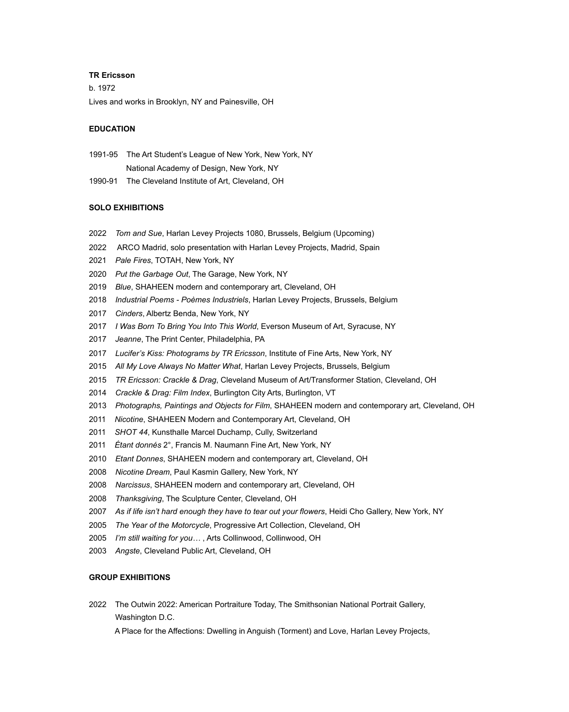#### **TR Ericsson**

b. 1972 Lives and works in Brooklyn, NY and Painesville, OH

#### **EDUCATION**

1991-95 The Art Student's League of New York, New York, NY National Academy of Design, New York, NY

1990-91 The Cleveland Institute of Art, Cleveland, OH

### **SOLO EXHIBITIONS**

- *Tom and Sue*, Harlan Levey Projects 1080, Brussels, Belgium (Upcoming)
- 2022 ARCO Madrid, solo presentation with Harlan Levey Projects, Madrid, Spain
- *Pale Fires*, TOTAH, New York, NY
- *Put the Garbage Out*, The Garage, New York, NY
- *Blue*, SHAHEEN modern and contemporary art, Cleveland, OH
- *Industrial Poems Poèmes Industriels*, Harlan Levey Projects, Brussels, Belgium
- *Cinders*, Albertz Benda, New York, NY
- *I Was Born To Bring You Into This World*, Everson Museum of Art, Syracuse, NY
- *Jeanne*, The Print Center, Philadelphia, PA
- *Lucifer's Kiss: Photograms by TR Ericsson*, Institute of Fine Arts, New York, NY
- *All My Love Always No Matter What*, Harlan Levey Projects, Brussels, Belgium
- *TR Ericsson: Crackle & Drag*, Cleveland Museum of Art/Transformer Station, Cleveland, OH
- *Crackle & Drag: Film Index*, Burlington City Arts, Burlington, VT
- *Photographs, Paintings and Objects for Film*, SHAHEEN modern and contemporary art, Cleveland, OH
- *Nicotine*, SHAHEEN Modern and Contemporary Art, Cleveland, OH
- *SHOT 44*, Kunsthalle Marcel Duchamp, Cully, Switzerland
- *Étant donnés* 2°, Francis M. Naumann Fine Art, New York, NY
- *Etant Donnes*, SHAHEEN modern and contemporary art, Cleveland, OH
- *Nicotine Dream*, Paul Kasmin Gallery, New York, NY
- *Narcissus*, SHAHEEN modern and contemporary art, Cleveland, OH
- *Thanksgiving*, The Sculpture Center, Cleveland, OH
- *As if life isn't hard enough they have to tear out your flowers*, Heidi Cho Gallery, New York, NY
- *The Year of the Motorcycle*, Progressive Art Collection, Cleveland, OH
- *I'm still waiting for you…* , Arts Collinwood, Collinwood, OH
- *Angste*, Cleveland Public Art, Cleveland, OH

# **GROUP EXHIBITIONS**

2022 The Outwin 2022: American Portraiture Today, The Smithsonian National Portrait Gallery, Washington D.C.

A Place for the Affections: Dwelling in Anguish (Torment) and Love, Harlan Levey Projects,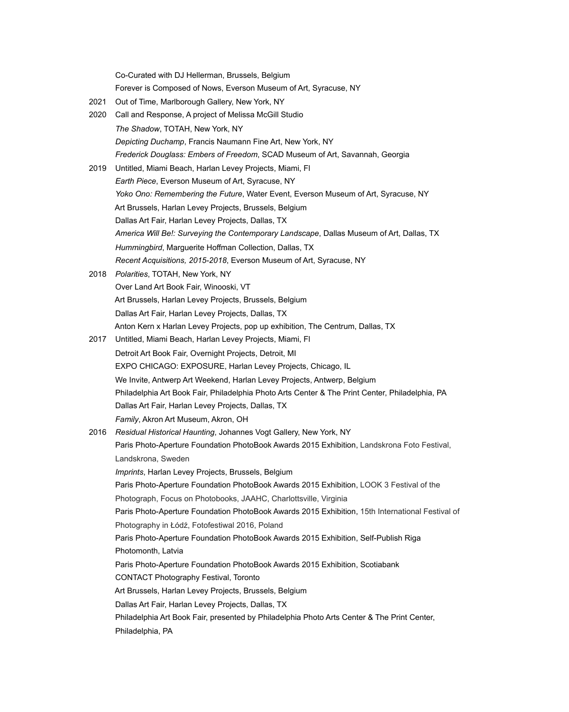Co-Curated with DJ Hellerman, Brussels, Belgium

Forever is Composed of Nows, Everson Museum of Art, Syracuse, NY

- 2021 Out of Time, Marlborough Gallery, New York, NY
- 2020 Call and Response, A project of Melissa McGill Studio *The Shadow*, TOTAH, New York, NY *Depicting Duchamp*, Francis Naumann Fine Art, New York, NY *Frederick Douglass: Embers of Freedom*, SCAD Museum of Art, Savannah, Georgia
- 2019 Untitled, Miami Beach, Harlan Levey Projects, Miami, Fl *Earth Piece*, Everson Museum of Art, Syracuse, NY *Yoko Ono: Remembering the Future*, Water Event, Everson Museum of Art, Syracuse, NY Art Brussels, Harlan Levey Projects, Brussels, Belgium Dallas Art Fair, Harlan Levey Projects, Dallas, TX *America Will Be!: Surveying the Contemporary Landscape*, Dallas Museum of Art, Dallas, TX *Hummingbird*, Marguerite Hoffman Collection, Dallas, TX *Recent Acquisitions, 2015-2018*, Everson Museum of Art, Syracuse, NY
- 2018 *Polarities*, TOTAH, New York, NY Over Land Art Book Fair, Winooski, VT Art Brussels, Harlan Levey Projects, Brussels, Belgium Dallas Art Fair, Harlan Levey Projects, Dallas, TX Anton Kern x Harlan Levey Projects, pop up exhibition, The Centrum, Dallas, TX
- 2017 Untitled, Miami Beach, Harlan Levey Projects, Miami, Fl Detroit Art Book Fair, Overnight Projects, Detroit, MI EXPO CHICAGO: EXPOSURE, Harlan Levey Projects, Chicago, IL We Invite, Antwerp Art Weekend, Harlan Levey Projects, Antwerp, Belgium Philadelphia Art Book Fair, Philadelphia Photo Arts Center & The Print Center, Philadelphia, PA Dallas Art Fair, Harlan Levey Projects, Dallas, TX *Family*, Akron Art Museum, Akron, OH
- 2016 *Residual Historical Haunting*, Johannes Vogt Gallery, New York, NY Paris Photo-Aperture Foundation PhotoBook Awards 2015 Exhibition, Landskrona Foto Festival, Landskrona, Sweden *Imprints*, Harlan Levey Projects, Brussels, Belgium Paris Photo-Aperture Foundation PhotoBook Awards 2015 Exhibition, LOOK 3 Festival of the Photograph, Focus on Photobooks, JAAHC, Charlottsville, Virginia Paris Photo-Aperture Foundation PhotoBook Awards 2015 Exhibition, 15th International Festival of Photography in Łódź, Fotofestiwal 2016, Poland Paris Photo-Aperture Foundation PhotoBook Awards 2015 Exhibition, Self-Publish Riga Photomonth, Latvia Paris Photo-Aperture Foundation PhotoBook Awards 2015 Exhibition, Scotiabank CONTACT Photography Festival, Toronto Art Brussels, Harlan Levey Projects, Brussels, Belgium Dallas Art Fair, Harlan Levey Projects, Dallas, TX Philadelphia Art Book Fair, presented by Philadelphia Photo Arts Center & The Print Center,
	- Philadelphia, PA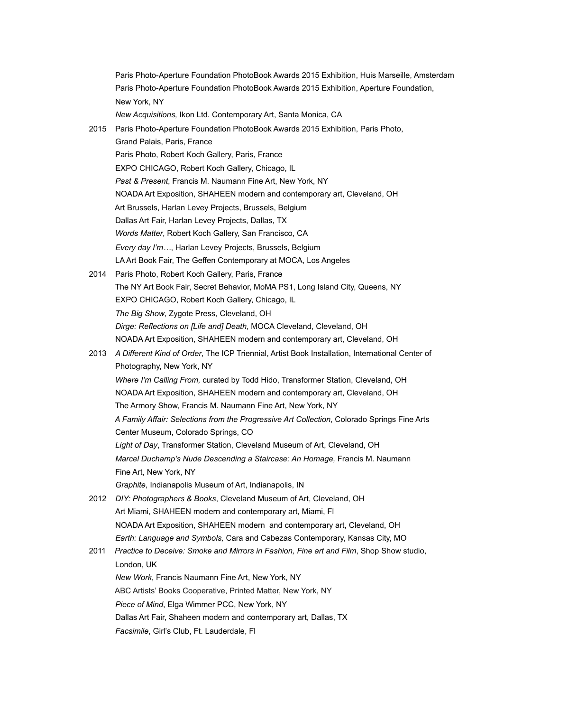Paris Photo-Aperture Foundation PhotoBook Awards 2015 Exhibition, Aperture Foundation, New York, NY  *New Acquisitions,* Ikon Ltd. Contemporary Art, Santa Monica, CA 2015 Paris Photo-Aperture Foundation PhotoBook Awards 2015 Exhibition, Paris Photo, Grand Palais, Paris, France Paris Photo, Robert Koch Gallery, Paris, France EXPO CHICAGO, Robert Koch Gallery, Chicago, IL *Past & Present*, Francis M. Naumann Fine Art, New York, NY NOADA Art Exposition, SHAHEEN modern and contemporary art, Cleveland, OH Art Brussels, Harlan Levey Projects, Brussels, Belgium Dallas Art Fair, Harlan Levey Projects, Dallas, TX *Words Matter*, Robert Koch Gallery, San Francisco, CA *Every day I'm…*, Harlan Levey Projects, Brussels, Belgium LA Art Book Fair, The Geffen Contemporary at MOCA, Los Angeles 2014 Paris Photo, Robert Koch Gallery, Paris, France The NY Art Book Fair, Secret Behavior, MoMA PS1, Long Island City, Queens, NY EXPO CHICAGO, Robert Koch Gallery, Chicago, IL  *The Big Show*, Zygote Press, Cleveland, OH *Dirge: Reflections on [Life and] Death*, MOCA Cleveland, Cleveland, OH NOADA Art Exposition, SHAHEEN modern and contemporary art, Cleveland, OH 2013 *A Different Kind of Order*, The ICP Triennial, Artist Book Installation, International Center of Photography, New York, NY *Where I'm Calling From,* curated by Todd Hido, Transformer Station, Cleveland, OH NOADA Art Exposition, SHAHEEN modern and contemporary art, Cleveland, OH The Armory Show, Francis M. Naumann Fine Art, New York, NY  *A Family Affair: Selections from the Progressive Art Collection*, Colorado Springs Fine Arts Center Museum, Colorado Springs, CO *Light of Day*, Transformer Station, Cleveland Museum of Art, Cleveland, OH *Marcel Duchamp's Nude Descending a Staircase: An Homage,* Francis M. Naumann Fine Art, New York, NY  *Graphite*, Indianapolis Museum of Art, Indianapolis, IN 2012 *DIY: Photographers & Books*, Cleveland Museum of Art, Cleveland, OH Art Miami, SHAHEEN modern and contemporary art, Miami, FI NOADA Art Exposition, SHAHEEN modern and contemporary art, Cleveland, OH  *Earth: Language and Symbols,* Cara and Cabezas Contemporary, Kansas City, MO 2011 *Practice to Deceive: Smoke and Mirrors in Fashion, Fine art and Film*, Shop Show studio, London, UK *New Work*, Francis Naumann Fine Art, New York, NY ABC Artists' Books Cooperative, Printed Matter, New York, NY *Piece of Mind*, Elga Wimmer PCC, New York, NY Dallas Art Fair, Shaheen modern and contemporary art, Dallas, TX  *Facsimile*, Girl's Club, Ft. Lauderdale, Fl

Paris Photo-Aperture Foundation PhotoBook Awards 2015 Exhibition, Huis Marseille, Amsterdam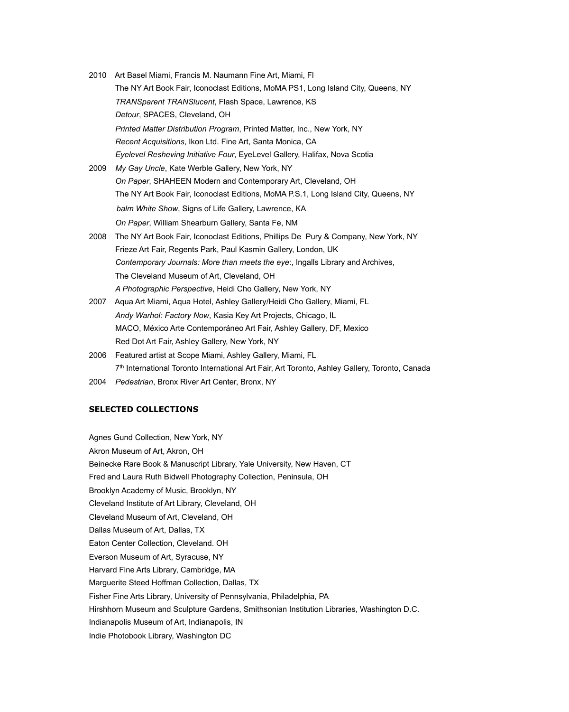- 2010 Art Basel Miami, Francis M. Naumann Fine Art, Miami, Fl The NY Art Book Fair, Iconoclast Editions, MoMA PS1, Long Island City, Queens, NY  *TRANSparent TRANSlucent*, Flash Space, Lawrence, KS  *Detour*, SPACES, Cleveland, OH  *Printed Matter Distribution Program*, Printed Matter, Inc., New York, NY *Recent Acquisitions*, Ikon Ltd. Fine Art, Santa Monica, CA *Eyelevel Resheving Initiative Four*, EyeLevel Gallery, Halifax, Nova Scotia 2009 *My Gay Uncle*, Kate Werble Gallery, New York, NY  *On Paper*, SHAHEEN Modern and Contemporary Art, Cleveland, OH The NY Art Book Fair, Iconoclast Editions, MoMA P.S.1, Long Island City, Queens, NY *balm White Show*, Signs of Life Gallery, Lawrence, KA
	- *On Paper*, William Shearburn Gallery, Santa Fe, NM
- 2008 The NY Art Book Fair, Iconoclast Editions, Phillips De Pury & Company, New York, NY Frieze Art Fair, Regents Park, Paul Kasmin Gallery, London, UK  *Contemporary Journals: More than meets the eye*:, Ingalls Library and Archives, The Cleveland Museum of Art, Cleveland, OH *A Photographic Perspective*, Heidi Cho Gallery, New York, NY
- 2007 Aqua Art Miami, Aqua Hotel, Ashley Gallery/Heidi Cho Gallery, Miami, FL *Andy Warhol: Factory Now*, Kasia Key Art Projects, Chicago, IL MACO, México Arte Contemporáneo Art Fair, Ashley Gallery, DF, Mexico Red Dot Art Fair, Ashley Gallery, New York, NY
- 2006 Featured artist at Scope Miami, Ashley Gallery, Miami, FL 7th International Toronto International Art Fair, Art Toronto, Ashley Gallery, Toronto, Canada
- 2004 *Pedestrian*, Bronx River Art Center, Bronx, NY

## **SELECTED COLLECTIONS**

Agnes Gund Collection, New York, NY Akron Museum of Art, Akron, OH Beinecke Rare Book & Manuscript Library, Yale University, New Haven, CT Fred and Laura Ruth Bidwell Photography Collection, Peninsula, OH Brooklyn Academy of Music, Brooklyn, NY Cleveland Institute of Art Library, Cleveland, OH Cleveland Museum of Art, Cleveland, OH Dallas Museum of Art, Dallas, TX Eaton Center Collection, Cleveland. OH Everson Museum of Art, Syracuse, NY Harvard Fine Arts Library, Cambridge, MA Marguerite Steed Hoffman Collection, Dallas, TX Fisher Fine Arts Library, University of Pennsylvania, Philadelphia, PA Hirshhorn Museum and Sculpture Gardens, Smithsonian Institution Libraries, Washington D.C. Indianapolis Museum of Art, Indianapolis, IN Indie Photobook Library, Washington DC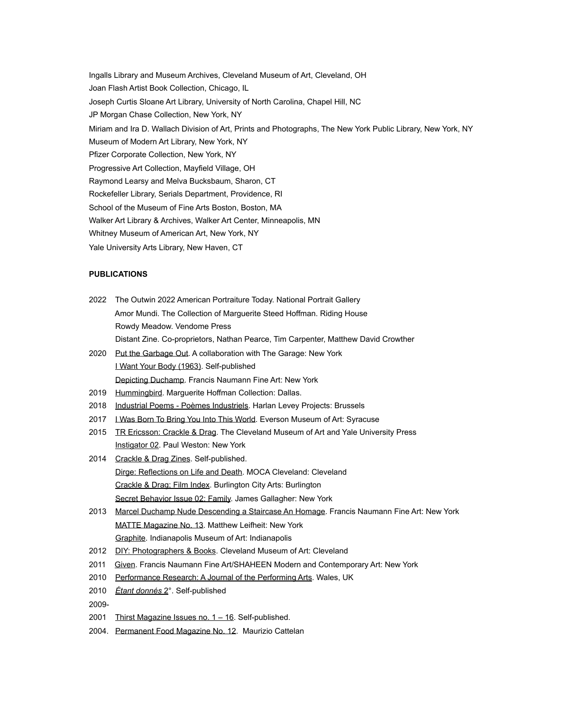Ingalls Library and Museum Archives, Cleveland Museum of Art, Cleveland, OH Joan Flash Artist Book Collection, Chicago, IL Joseph Curtis Sloane Art Library, University of North Carolina, Chapel Hill, NC JP Morgan Chase Collection, New York, NY Miriam and Ira D. Wallach Division of Art, Prints and Photographs, The New York Public Library, New York, NY Museum of Modern Art Library, New York, NY Pfizer Corporate Collection, New York, NY Progressive Art Collection, Mayfield Village, OH Raymond Learsy and Melva Bucksbaum, Sharon, CT Rockefeller Library, Serials Department, Providence, RI School of the Museum of Fine Arts Boston, Boston, MA Walker Art Library & Archives, Walker Art Center, Minneapolis, MN Whitney Museum of American Art, New York, NY Yale University Arts Library, New Haven, CT

#### **PUBLICATIONS**

- 2022 The Outwin 2022 American Portraiture Today. National Portrait Gallery Amor Mundi. The Collection of Marguerite Steed Hoffman. Riding House Rowdy Meadow. Vendome Press Distant Zine. Co-proprietors, Nathan Pearce, Tim Carpenter, Matthew David Crowther
- 2020 Put the Garbage Out. A collaboration with The Garage: New York I Want Your Body (1963). Self-published Depicting Duchamp. Francis Naumann Fine Art: New York
- 2019 Hummingbird. Marguerite Hoffman Collection: Dallas.
- 2018 Industrial Poems Poèmes Industriels. Harlan Levey Projects: Brussels
- 2017 LWas Born To Bring You Into This World. Everson Museum of Art: Syracuse
- 2015 TR Ericsson: Crackle & Drag. The Cleveland Museum of Art and Yale University Press Instigator 02. Paul Weston: New York
- 2014 Crackle & Drag Zines. Self-published. Dirge: Reflections on Life and Death. MOCA Cleveland: Cleveland Crackle & Drag; Film Index. Burlington City Arts: Burlington Secret Behavior Issue 02: Family. James Gallagher: New York
- 2013 Marcel Duchamp Nude Descending a Staircase An Homage. Francis Naumann Fine Art: New York MATTE Magazine No. 13. Matthew Leifheit: New York Graphite. Indianapolis Museum of Art: Indianapolis
- 2012 DIY: Photographers & Books. Cleveland Museum of Art: Cleveland
- 2011 Given. Francis Naumann Fine Art/SHAHEEN Modern and Contemporary Art: New York
- 2010 Performance Research: A Journal of the Performing Arts. Wales, UK
- 2010 *Étant donnés* 2°. Self-published
- 2009-
- 2001 Thirst Magazine Issues no. 1 16. Self-published.
- 2004. Permanent Food Magazine No. 12. Maurizio Cattelan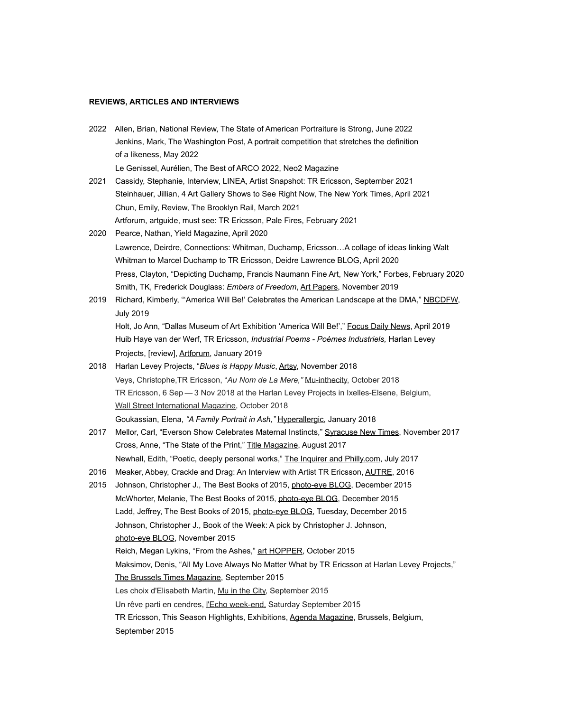#### **REVIEWS, ARTICLES AND INTERVIEWS**

2022 Allen, Brian, National Review, The State of American Portraiture is Strong, June 2022 Jenkins, Mark, The Washington Post, A portrait competition that stretches the definition of a likeness, May 2022

Le Genissel, Aurélien, The Best of ARCO 2022, Neo2 Magazine

- 2021 Cassidy, Stephanie, Interview, LINEA, Artist Snapshot: TR Ericsson, September 2021 Steinhauer, Jillian, 4 Art Gallery Shows to See Right Now, The New York Times, April 2021 Chun, Emily, Review, The Brooklyn Rail, March 2021 Artforum, artguide, must see: TR Ericsson, Pale Fires, February 2021
- 2020 Pearce, Nathan, Yield Magazine, April 2020 Lawrence, Deirdre, Connections: Whitman, Duchamp, Ericsson…A collage of ideas linking Walt Whitman to Marcel Duchamp to TR Ericsson, Deidre Lawrence BLOG, April 2020 Press, Clayton, "Depicting Duchamp, Francis Naumann Fine Art, New York," Eorbes, February 2020 Smith, TK, Frederick Douglass: *Embers of Freedom*, Art Papers, November 2019
- 2019 Richard, Kimberly, "'America Will Be!' Celebrates the American Landscape at the DMA," NBCDFW, July 2019 Holt, Jo Ann, "Dallas Museum of Art Exhibition 'America Will Be!'," Focus Daily News, April 2019

 Huib Haye van der Werf, TR Ericsson, *Industrial Poems - Poèmes Industriels,* Harlan Levey Projects, [review], Artforum, January 2019

- 2018 Harlan Levey Projects, "*Blues is Happy Music*, Artsy, November 2018 Veys, Christophe,TR Ericsson, "*Au Nom de La Mere,"* Mu-inthecity, October 2018 TR Ericsson, 6 Sep — 3 Nov 2018 at the Harlan Levey Projects in Ixelles-Elsene, Belgium, Wall Street International Magazine, October 2018 Goukassian, Elena, *"A Family Portrait in Ash,"* Hyperallergic, January 2018
- 2017 Mellor, Carl, "Everson Show Celebrates Maternal Instincts," Syracuse New Times, November 2017 Cross, Anne, "The State of the Print," Title Magazine, August 2017 Newhall, Edith, "Poetic, deeply personal works," The Inquirer and Philly.com, July 2017
- 2016 Meaker, Abbey, Crackle and Drag: An Interview with Artist TR Ericsson, AUTRE, 2016
- 2015 Johnson, Christopher J., The Best Books of 2015, photo-eye BLOG, December 2015 McWhorter, Melanie, The Best Books of 2015, photo-eye BLOG, December 2015 Ladd, Jeffrey, The Best Books of 2015, photo-eye BLOG, Tuesday, December 2015 Johnson, Christopher J., Book of the Week: A pick by Christopher J. Johnson, photo-eye BLOG, November 2015 Reich, Megan Lykins, "From the Ashes," art HOPPER, October 2015 Maksimov, Denis, "All My Love Always No Matter What by TR Ericsson at Harlan Levey Projects," The Brussels Times Magazine, September 2015 Les choix d'Elisabeth Martin, Mu in the City, September 2015 Un rêve parti en cendres, l'Echo week-end, Saturday September 2015 TR Ericsson, This Season Highlights, Exhibitions, Agenda Magazine, Brussels, Belgium, September 2015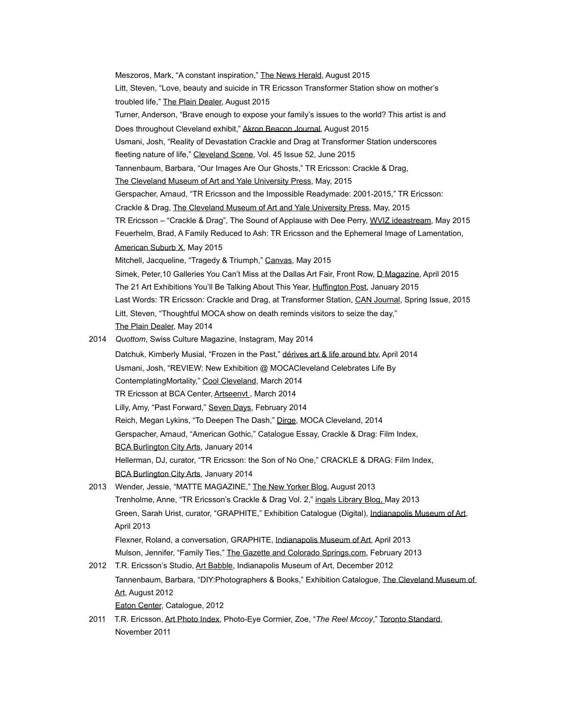Meszoros, Mark, "A constant inspiration," The News Herald, August 2015 Litt, Steven, "Love, beauty and suicide in TR Ericsson Transformer Station show on mother's troubled life," The Plain Dealer, August 2015 Turner, Anderson, "Brave enough to expose your family's issues to the world? This artist is and Does throughout Cleveland exhibit," Akron Beacon Journal, August 2015 Usmani, Josh, "Reality of Devastation Crackle and Drag at Transformer Station underscores fleeting nature of life," Cleveland Scene, Vol. 45 Issue 52, June 2015 Tannenbaum, Barbara, "Our Images Are Our Ghosts," TR Ericsson: Crackle & Drag, The Cleveland Museum of Art and Yale University Press, May, 2015 Gerspacher, Arnaud, "TR Ericsson and the Impossible Readymade: 2001-2015," TR Ericsson: Crackle & Drag, The Cleveland Museum of Art and Yale University Press, May, 2015 TR Ericsson – "Crackle & Drag", The Sound of Applause with Dee Perry, WVIZ ideastream, May 2015 Feuerhelm, Brad, A Family Reduced to Ash: TR Ericsson and the Ephemeral Image of Lamentation, American Suburb X, May 2015 Mitchell, Jacqueline, "Tragedy & Triumph," Canvas, May 2015 Simek, Peter,10 Galleries You Can't Miss at the Dallas Art Fair, Front Row, D Magazine, April 2015 The 21 Art Exhibitions You'll Be Talking About This Year, Huffington Post, January 2015 Last Words: TR Ericsson: Crackle and Drag, at Transformer Station, CAN Journal, Spring Issue, 2015 Litt, Steven, "Thoughtful MOCA show on death reminds visitors to seize the day," The Plain Dealer, May 2014 2014 *Quottom*, Swiss Culture Magazine, Instagram, May 2014 Datchuk, [Kimberly Musial,](https://plus.google.com/104694798327358369830) "Frozen in the Past," dérives art & life around btv, April 2014 Usmani, Josh, "REVIEW: New Exhibition @ MOCACleveland Celebrates Life By ContemplatingMortality," Cool Cleveland, March 2014 TR Ericsson at BCA Center, Artseenvt., March 2014 Lilly, Amy, "Past Forward," Seven Days, February 2014 Reich, Megan Lykins, "To Deepen The Dash," Dirge, MOCA Cleveland, 2014 Gerspacher, Arnaud, "American Gothic," Catalogue Essay, Crackle & Drag: Film Index, BCA Burlington City Arts, January 2014 Hellerman, DJ, curator, "TR Ericsson: the Son of No One," CRACKLE & DRAG: Film Index, BCA Burlington City Arts, January 2014 2013 Wender, Jessie, "MATTE MAGAZINE," The New Yorker Blog, August 2013 Trenholme, Anne, "TR Ericsson's Crackle & Drag Vol. 2," ingals Library Blog, May 2013 Green, Sarah Urist, curator, "GRAPHITE," Exhibition Catalogue (Digital), Indianapolis Museum of Art, April 2013 Flexner, Roland, a conversation, GRAPHITE, Indianapolis Museum of Art, April 2013 Mulson, Jennifer, "Family Ties," The Gazette and Colorado Springs.com, February 2013 2012 T.R. Ericsson's Studio, Art Babble, Indianapolis Museum of Art, December 2012 Tannenbaum, Barbara, "DIY:Photographers & Books," Exhibition Catalogue, The Cleveland Museum of Art, August 2012 Eaton Center, Catalogue, 2012

2011 T.R. Ericsson, Art Photo Index, Photo-Eye Cormier, Zoe, "*The Reel Mccoy*," Toronto Standard, November 2011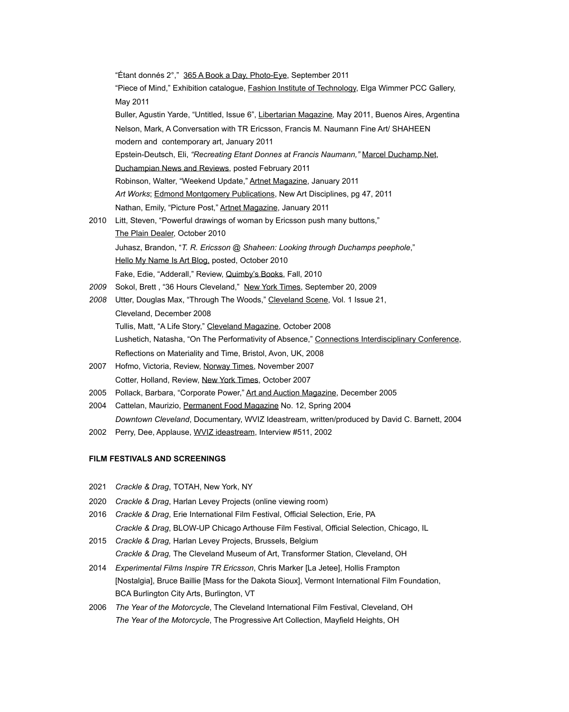"Étant donnés 2°," 365 A Book a Day, Photo-Eye, September 2011 "Piece of Mind," Exhibition catalogue, **Fashion Institute of Technology**, Elga Wimmer PCC Gallery, May 2011 Buller, Agustin Yarde, "Untitled, Issue 6", Libertarian Magazine*,* May 2011, Buenos Aires, Argentina Nelson, Mark, A Conversation with TR Ericsson, Francis M. Naumann Fine Art/ SHAHEEN modern and contemporary art, January 2011 Epstein-Deutsch, Eli, *"Recreating Etant Donnes at Francis Naumann,"* Marcel Duchamp.Net, Duchampian News and Reviews, posted February 2011 Robinson, Walter, "Weekend Update," Artnet Magazine, January 2011 *Art Works*; Edmond Montgomery Publications, New Art Disciplines, pg 47, 2011 Nathan, Emily, "Picture Post," Artnet Magazine, January 2011 2010Litt, Steven, "Powerful drawings of woman by Ericsson push many buttons," The Plain Dealer, October 2010 Juhasz, Brandon, "*T. R. Ericsson @ Shaheen: Looking through Duchamps peephole*," Hello My Name Is Art Blog, posted, October 2010 Fake, Edie, "Adderall," Review, Quimby's Books, Fall, 2010 *2009* Sokol, Brett , "36 Hours Cleveland," New York Times, September 20, 2009 *2008* Utter, Douglas Max, "Through The Woods," Cleveland Scene, Vol. 1 Issue 21, Cleveland, December 2008 Tullis, Matt, "A Life Story," Cleveland Magazine, October 2008 Lushetich, Natasha, "On The Performativity of Absence," Connections Interdisciplinary Conference, Reflections on Materiality and Time, Bristol, Avon, UK, 2008 2007 Hofmo, Victoria, Review, Norway Times, November 2007

- Cotter, Holland, Review, New York Times, October 2007
- 2005 Pollack, Barbara, "Corporate Power," Art and Auction Magazine, December 2005
- 2004 Cattelan, Maurizio, Permanent Food Magazine No. 12, Spring 2004 *Downtown Cleveland*, Documentary, WVIZ Ideastream, written/produced by David C. Barnett, 2004
- 2002 Perry, Dee, Applause, WVIZ ideastream, Interview #511, 2002

## **FILM FESTIVALS AND SCREENINGS**

- 2021 *Crackle & Drag*, TOTAH, New York, NY
- 2020 *Crackle & Drag*, Harlan Levey Projects (online viewing room)
- 2016 *Crackle & Drag*, Erie International Film Festival, Official Selection, Erie, PA *Crackle & Drag*, BLOW-UP Chicago Arthouse Film Festival, Official Selection, Chicago, IL
- 2015 *Crackle & Drag,* Harlan Levey Projects, Brussels, Belgium *Crackle & Drag,* The Cleveland Museum of Art, Transformer Station, Cleveland, OH
- 2014 *Experimental Films Inspire TR Ericsson*, Chris Marker [La Jetee], Hollis Frampton [Nostalgia], Bruce Baillie [Mass for the Dakota Sioux], Vermont International Film Foundation, BCA Burlington City Arts, Burlington, VT
- 2006 *The Year of the Motorcycle*, The Cleveland International Film Festival, Cleveland, OH *The Year of the Motorcycle*, The Progressive Art Collection, Mayfield Heights, OH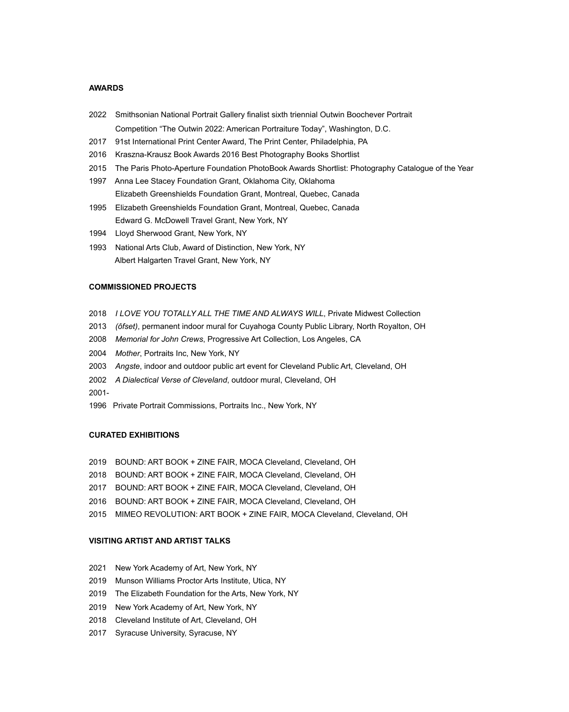### **AWARDS**

- 2022 Smithsonian National Portrait Gallery finalist sixth triennial Outwin Boochever Portrait Competition "The Outwin 2022: American Portraiture Today", Washington, D.C.
- 2017 91st International Print Center Award, The Print Center, Philadelphia, PA
- 2016 Kraszna-Krausz Book Awards 2016 Best Photography Books Shortlist
- 2015 The Paris Photo-Aperture Foundation PhotoBook Awards Shortlist: Photography Catalogue of the Year
- 1997 Anna Lee Stacey Foundation Grant, Oklahoma City, Oklahoma Elizabeth Greenshields Foundation Grant, Montreal, Quebec, Canada
- 1995 Elizabeth Greenshields Foundation Grant, Montreal, Quebec, Canada Edward G. McDowell Travel Grant, New York, NY
- 1994 Lloyd Sherwood Grant, New York, NY
- 1993 National Arts Club, Award of Distinction, New York, NY Albert Halgarten Travel Grant, New York, NY

#### **COMMISSIONED PROJECTS**

- 2018 *I LOVE YOU TOTALLY ALL THE TIME AND ALWAYS WILL*, Private Midwest Collection
- 2013 *(ôfset)*, permanent indoor mural for Cuyahoga County Public Library, North Royalton, OH
- 2008 *Memorial for John Crews*, Progressive Art Collection, Los Angeles, CA
- 2004 *Mother*, Portraits Inc, New York, NY
- 2003 *Angste*, indoor and outdoor public art event for Cleveland Public Art, Cleveland, OH
- 2002 *A Dialectical Verse of Cleveland*, outdoor mural, Cleveland, OH
- 2001-
- 1996 Private Portrait Commissions, Portraits Inc., New York, NY

# **CURATED EXHIBITIONS**

- 2019 BOUND: ART BOOK + ZINE FAIR, MOCA Cleveland, Cleveland, OH
- 2018 BOUND: ART BOOK + ZINE FAIR, MOCA Cleveland, Cleveland, OH
- 2017 BOUND: ART BOOK + ZINE FAIR, MOCA Cleveland, Cleveland, OH
- 2016 BOUND: ART BOOK + ZINE FAIR, MOCA Cleveland, Cleveland, OH
- 2015 MIMEO REVOLUTION: ART BOOK + ZINE FAIR, MOCA Cleveland, Cleveland, OH

### **VISITING ARTIST AND ARTIST TALKS**

- 2021 New York Academy of Art, New York, NY
- 2019 Munson Williams Proctor Arts Institute, Utica, NY
- 2019 The Elizabeth Foundation for the Arts, New York, NY
- 2019 New York Academy of Art, New York, NY
- 2018 Cleveland Institute of Art, Cleveland, OH
- 2017 Syracuse University, Syracuse, NY